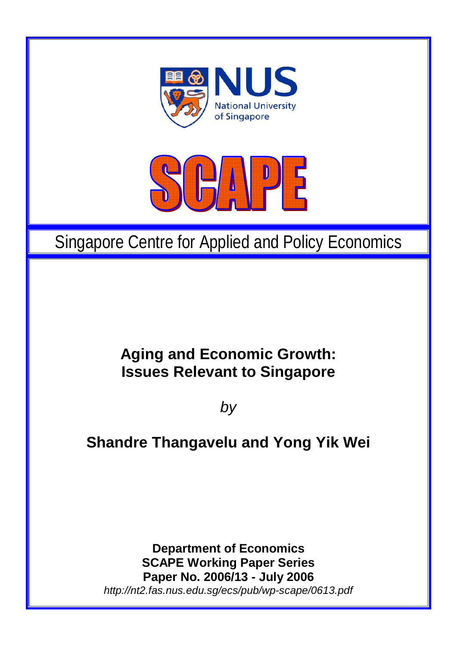



# Singapore Centre for Applied and Policy Economics

## **Aging and Economic Growth: Issues Relevant to Singapore**

*by* 

## **Shandre Thangavelu and Yong Yik Wei**

**Department of Economics SCAPE Working Paper Series Paper No. 2006/13 - July 2006**  *http://nt2.fas.nus.edu.sg/ecs/pub/wp-scape/0613.pdf*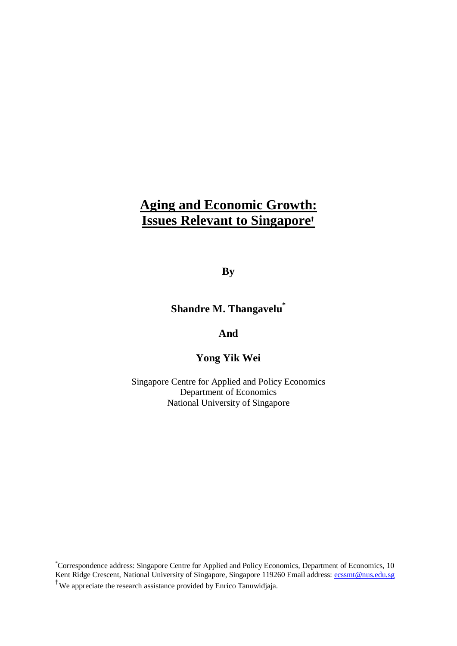### **Aging and Economic Growth: Issues Relevant to Singapore†**

**By** 

**Shandre M. Thangavelu\***

**And** 

**Yong Yik Wei** 

Singapore Centre for Applied and Policy Economics Department of Economics<sup>.</sup> National University of Singapore

<u>.</u>

<sup>\*</sup> Correspondence address: Singapore Centre for Applied and Policy Economics, Department of Economics, 10 Kent Ridge Crescent, National University of Singapore, Singapore 119260 Email address: ecssmt@nus.edu.sg † We appreciate the research assistance provided by Enrico Tanuwidjaja.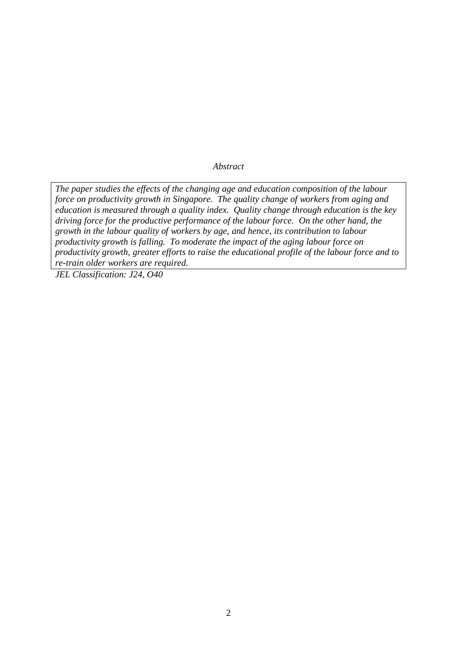*Abstract* 

*The paper studies the effects of the changing age and education composition of the labour force on productivity growth in Singapore. The quality change of workers from aging and education is measured through a quality index. Quality change through education is the key driving force for the productive performance of the labour force. On the other hand, the growth in the labour quality of workers by age, and hence, its contribution to labour productivity growth is falling. To moderate the impact of the aging labour force on productivity growth, greater efforts to raise the educational profile of the labour force and to re-train older workers are required.* 

*JEL Classification: J24, O40*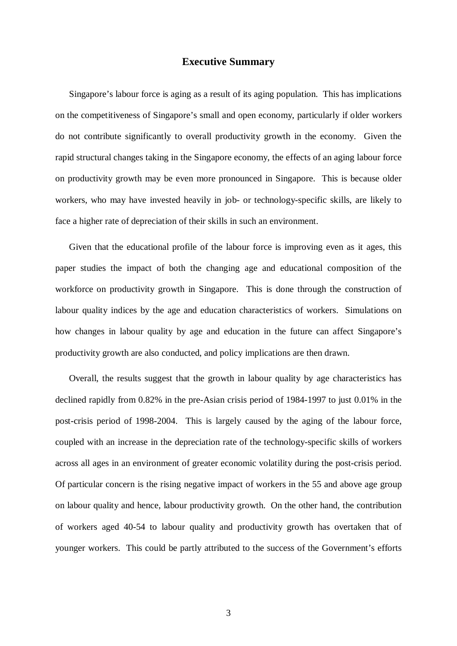#### **Executive Summary**

Singapore's labour force is aging as a result of its aging population. This has implications on the competitiveness of Singapore's small and open economy, particularly if older workers do not contribute significantly to overall productivity growth in the economy. Given the rapid structural changes taking in the Singapore economy, the effects of an aging labour force on productivity growth may be even more pronounced in Singapore. This is because older workers, who may have invested heavily in job- or technology-specific skills, are likely to face a higher rate of depreciation of their skills in such an environment.

Given that the educational profile of the labour force is improving even as it ages, this paper studies the impact of both the changing age and educational composition of the workforce on productivity growth in Singapore. This is done through the construction of labour quality indices by the age and education characteristics of workers. Simulations on how changes in labour quality by age and education in the future can affect Singapore's productivity growth are also conducted, and policy implications are then drawn.

Overall, the results suggest that the growth in labour quality by age characteristics has declined rapidly from 0.82% in the pre-Asian crisis period of 1984-1997 to just 0.01% in the post-crisis period of 1998-2004. This is largely caused by the aging of the labour force, coupled with an increase in the depreciation rate of the technology-specific skills of workers across all ages in an environment of greater economic volatility during the post-crisis period. Of particular concern is the rising negative impact of workers in the 55 and above age group on labour quality and hence, labour productivity growth. On the other hand, the contribution of workers aged 40-54 to labour quality and productivity growth has overtaken that of younger workers. This could be partly attributed to the success of the Government's efforts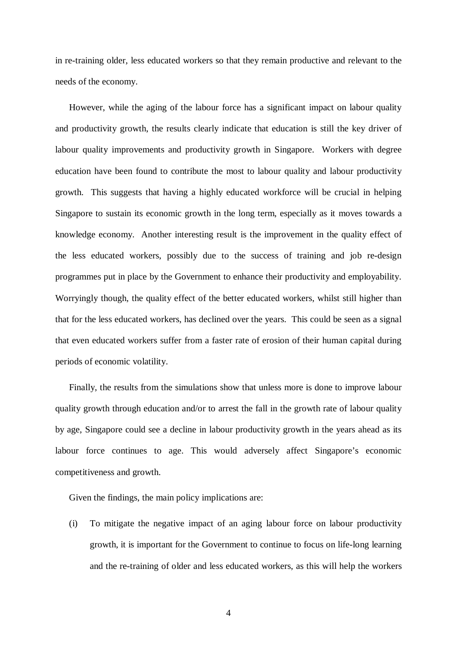in re-training older, less educated workers so that they remain productive and relevant to the needs of the economy.

However, while the aging of the labour force has a significant impact on labour quality and productivity growth, the results clearly indicate that education is still the key driver of labour quality improvements and productivity growth in Singapore. Workers with degree education have been found to contribute the most to labour quality and labour productivity growth. This suggests that having a highly educated workforce will be crucial in helping Singapore to sustain its economic growth in the long term, especially as it moves towards a knowledge economy. Another interesting result is the improvement in the quality effect of the less educated workers, possibly due to the success of training and job re-design programmes put in place by the Government to enhance their productivity and employability. Worryingly though, the quality effect of the better educated workers, whilst still higher than that for the less educated workers, has declined over the years. This could be seen as a signal that even educated workers suffer from a faster rate of erosion of their human capital during periods of economic volatility.

Finally, the results from the simulations show that unless more is done to improve labour quality growth through education and/or to arrest the fall in the growth rate of labour quality by age, Singapore could see a decline in labour productivity growth in the years ahead as its labour force continues to age. This would adversely affect Singapore's economic competitiveness and growth.

Given the findings, the main policy implications are:

(i) To mitigate the negative impact of an aging labour force on labour productivity growth, it is important for the Government to continue to focus on life-long learning and the re-training of older and less educated workers, as this will help the workers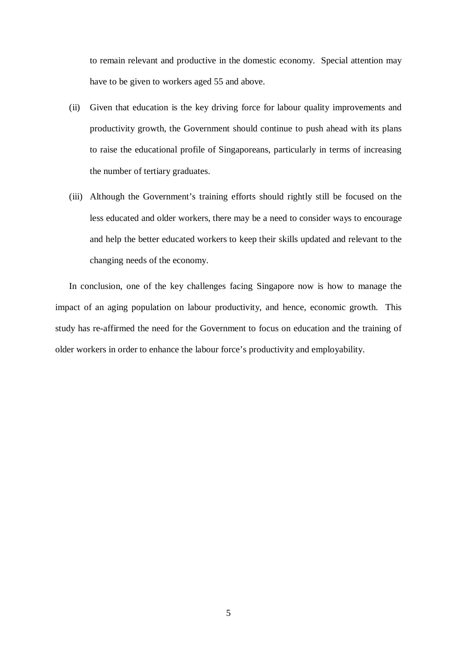to remain relevant and productive in the domestic economy. Special attention may have to be given to workers aged 55 and above.

- (ii) Given that education is the key driving force for labour quality improvements and productivity growth, the Government should continue to push ahead with its plans to raise the educational profile of Singaporeans, particularly in terms of increasing the number of tertiary graduates.
- (iii) Although the Government's training efforts should rightly still be focused on the less educated and older workers, there may be a need to consider ways to encourage and help the better educated workers to keep their skills updated and relevant to the changing needs of the economy.

In conclusion, one of the key challenges facing Singapore now is how to manage the impact of an aging population on labour productivity, and hence, economic growth. This study has re-affirmed the need for the Government to focus on education and the training of older workers in order to enhance the labour force's productivity and employability.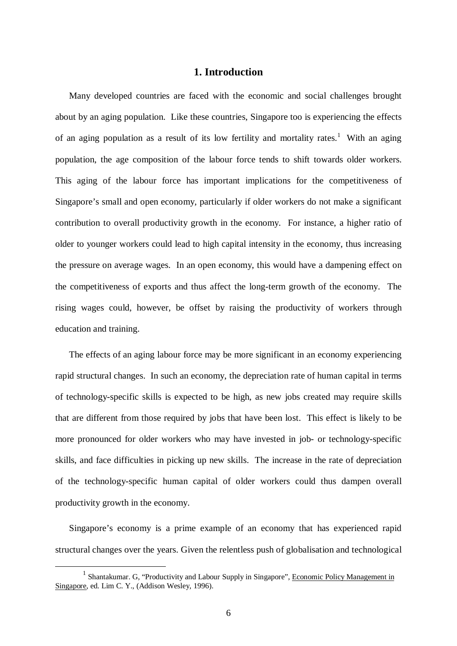#### **1. Introduction**

Many developed countries are faced with the economic and social challenges brought about by an aging population. Like these countries, Singapore too is experiencing the effects of an aging population as a result of its low fertility and mortality rates.<sup>1</sup> With an aging population, the age composition of the labour force tends to shift towards older workers. This aging of the labour force has important implications for the competitiveness of Singapore's small and open economy, particularly if older workers do not make a significant contribution to overall productivity growth in the economy. For instance, a higher ratio of older to younger workers could lead to high capital intensity in the economy, thus increasing the pressure on average wages. In an open economy, this would have a dampening effect on the competitiveness of exports and thus affect the long-term growth of the economy. The rising wages could, however, be offset by raising the productivity of workers through education and training.

The effects of an aging labour force may be more significant in an economy experiencing rapid structural changes. In such an economy, the depreciation rate of human capital in terms of technology-specific skills is expected to be high, as new jobs created may require skills that are different from those required by jobs that have been lost. This effect is likely to be more pronounced for older workers who may have invested in job- or technology-specific skills, and face difficulties in picking up new skills. The increase in the rate of depreciation of the technology-specific human capital of older workers could thus dampen overall productivity growth in the economy.

Singapore's economy is a prime example of an economy that has experienced rapid structural changes over the years. Given the relentless push of globalisation and technological

 $\frac{1}{1}$ <sup>1</sup> Shantakumar. G. "Productivity and Labour Supply in Singapore", Economic Policy Management in Singapore, ed. Lim C. Y., (Addison Wesley, 1996).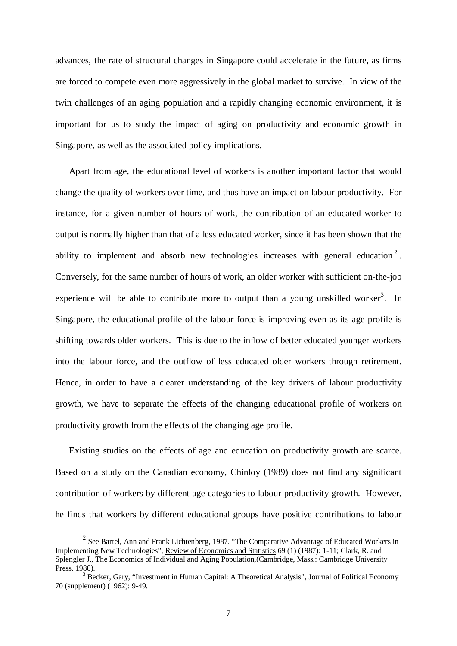advances, the rate of structural changes in Singapore could accelerate in the future, as firms are forced to compete even more aggressively in the global market to survive. In view of the twin challenges of an aging population and a rapidly changing economic environment, it is important for us to study the impact of aging on productivity and economic growth in Singapore, as well as the associated policy implications.

Apart from age, the educational level of workers is another important factor that would change the quality of workers over time, and thus have an impact on labour productivity. For instance, for a given number of hours of work, the contribution of an educated worker to output is normally higher than that of a less educated worker, since it has been shown that the ability to implement and absorb new technologies increases with general education<sup>2</sup>. Conversely, for the same number of hours of work, an older worker with sufficient on-the-job experience will be able to contribute more to output than a young unskilled worker<sup>3</sup>. In Singapore, the educational profile of the labour force is improving even as its age profile is shifting towards older workers. This is due to the inflow of better educated younger workers into the labour force, and the outflow of less educated older workers through retirement. Hence, in order to have a clearer understanding of the key drivers of labour productivity growth, we have to separate the effects of the changing educational profile of workers on productivity growth from the effects of the changing age profile.

Existing studies on the effects of age and education on productivity growth are scarce. Based on a study on the Canadian economy, Chinloy (1989) does not find any significant contribution of workers by different age categories to labour productivity growth. However, he finds that workers by different educational groups have positive contributions to labour

 $\frac{1}{2}$  $2$  See Bartel, Ann and Frank Lichtenberg, 1987. "The Comparative Advantage of Educated Workers in Implementing New Technologies", Review of Economics and Statistics 69 (1) (1987): 1-11; Clark, R. and Splengler J., The Economics of Individual and Aging Population*,*(Cambridge, Mass.: Cambridge University Press, 1980).

<sup>&</sup>lt;sup>3</sup> Becker, Gary, "Investment in Human Capital: A Theoretical Analysis", Journal of Political Economy 70 (supplement) (1962): 9-49.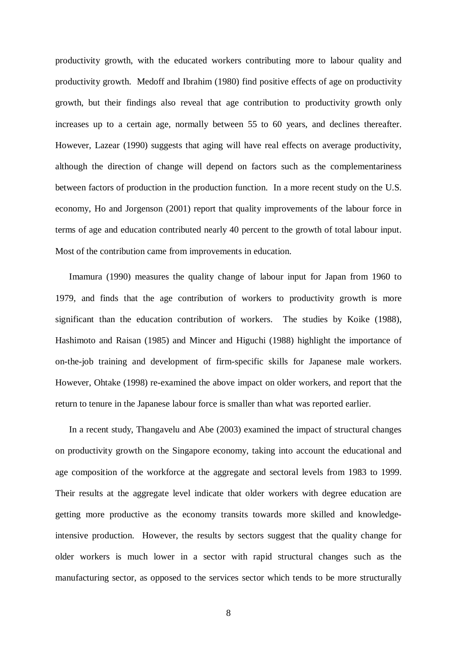productivity growth, with the educated workers contributing more to labour quality and productivity growth. Medoff and Ibrahim (1980) find positive effects of age on productivity growth, but their findings also reveal that age contribution to productivity growth only increases up to a certain age, normally between 55 to 60 years, and declines thereafter. However, Lazear (1990) suggests that aging will have real effects on average productivity, although the direction of change will depend on factors such as the complementariness between factors of production in the production function. In a more recent study on the U.S. economy, Ho and Jorgenson (2001) report that quality improvements of the labour force in terms of age and education contributed nearly 40 percent to the growth of total labour input. Most of the contribution came from improvements in education.

Imamura (1990) measures the quality change of labour input for Japan from 1960 to 1979, and finds that the age contribution of workers to productivity growth is more significant than the education contribution of workers. The studies by Koike (1988), Hashimoto and Raisan (1985) and Mincer and Higuchi (1988) highlight the importance of on-the-job training and development of firm-specific skills for Japanese male workers. However, Ohtake (1998) re-examined the above impact on older workers, and report that the return to tenure in the Japanese labour force is smaller than what was reported earlier.

In a recent study, Thangavelu and Abe (2003) examined the impact of structural changes on productivity growth on the Singapore economy, taking into account the educational and age composition of the workforce at the aggregate and sectoral levels from 1983 to 1999. Their results at the aggregate level indicate that older workers with degree education are getting more productive as the economy transits towards more skilled and knowledgeintensive production. However, the results by sectors suggest that the quality change for older workers is much lower in a sector with rapid structural changes such as the manufacturing sector, as opposed to the services sector which tends to be more structurally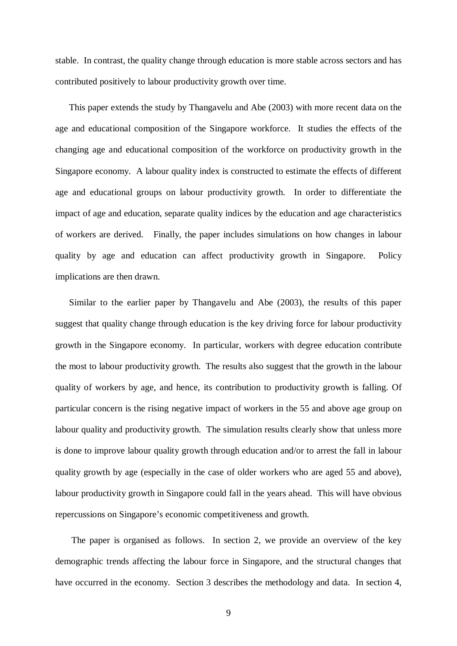stable. In contrast, the quality change through education is more stable across sectors and has contributed positively to labour productivity growth over time.

This paper extends the study by Thangavelu and Abe (2003) with more recent data on the age and educational composition of the Singapore workforce. It studies the effects of the changing age and educational composition of the workforce on productivity growth in the Singapore economy. A labour quality index is constructed to estimate the effects of different age and educational groups on labour productivity growth. In order to differentiate the impact of age and education, separate quality indices by the education and age characteristics of workers are derived. Finally, the paper includes simulations on how changes in labour quality by age and education can affect productivity growth in Singapore. Policy implications are then drawn.

Similar to the earlier paper by Thangavelu and Abe (2003), the results of this paper suggest that quality change through education is the key driving force for labour productivity growth in the Singapore economy. In particular, workers with degree education contribute the most to labour productivity growth. The results also suggest that the growth in the labour quality of workers by age, and hence, its contribution to productivity growth is falling. Of particular concern is the rising negative impact of workers in the 55 and above age group on labour quality and productivity growth. The simulation results clearly show that unless more is done to improve labour quality growth through education and/or to arrest the fall in labour quality growth by age (especially in the case of older workers who are aged 55 and above), labour productivity growth in Singapore could fall in the years ahead. This will have obvious repercussions on Singapore's economic competitiveness and growth.

 The paper is organised as follows. In section 2, we provide an overview of the key demographic trends affecting the labour force in Singapore, and the structural changes that have occurred in the economy. Section 3 describes the methodology and data. In section 4,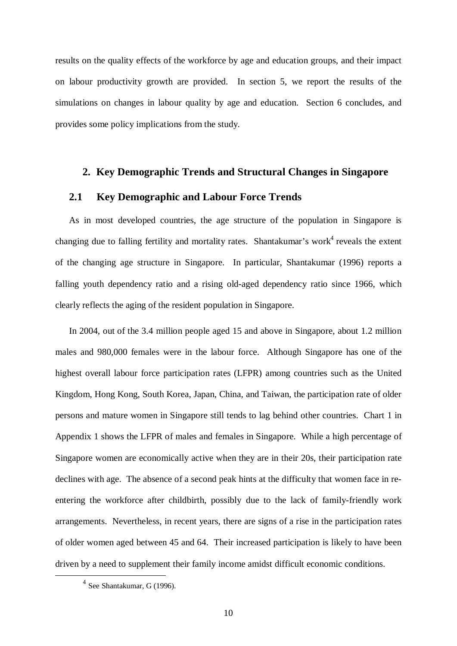results on the quality effects of the workforce by age and education groups, and their impact on labour productivity growth are provided. In section 5, we report the results of the simulations on changes in labour quality by age and education. Section 6 concludes, and provides some policy implications from the study.

#### **2. Key Demographic Trends and Structural Changes in Singapore**

#### **2.1 Key Demographic and Labour Force Trends**

As in most developed countries, the age structure of the population in Singapore is changing due to falling fertility and mortality rates. Shantakumar's work $4$  reveals the extent of the changing age structure in Singapore. In particular, Shantakumar (1996) reports a falling youth dependency ratio and a rising old-aged dependency ratio since 1966, which clearly reflects the aging of the resident population in Singapore.

In 2004, out of the 3.4 million people aged 15 and above in Singapore, about 1.2 million males and 980,000 females were in the labour force. Although Singapore has one of the highest overall labour force participation rates (LFPR) among countries such as the United Kingdom, Hong Kong, South Korea, Japan, China, and Taiwan, the participation rate of older persons and mature women in Singapore still tends to lag behind other countries. Chart 1 in Appendix 1 shows the LFPR of males and females in Singapore. While a high percentage of Singapore women are economically active when they are in their 20s, their participation rate declines with age. The absence of a second peak hints at the difficulty that women face in reentering the workforce after childbirth, possibly due to the lack of family-friendly work arrangements. Nevertheless, in recent years, there are signs of a rise in the participation rates of older women aged between 45 and 64. Their increased participation is likely to have been driven by a need to supplement their family income amidst difficult economic conditions.

 <sup>4</sup> See Shantakumar, G (1996).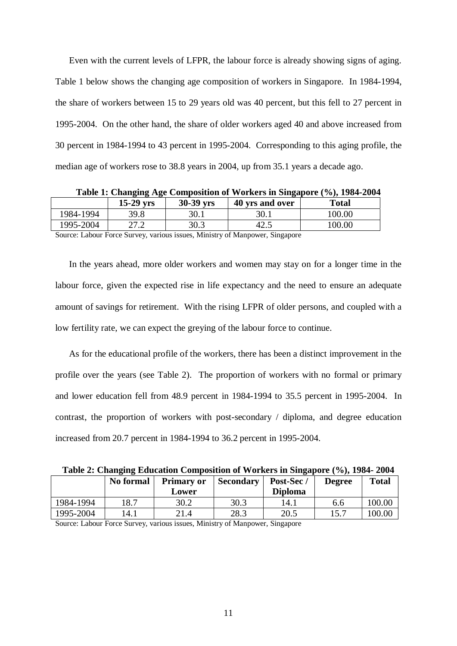Even with the current levels of LFPR, the labour force is already showing signs of aging. Table 1 below shows the changing age composition of workers in Singapore. In 1984-1994, the share of workers between 15 to 29 years old was 40 percent, but this fell to 27 percent in 1995-2004. On the other hand, the share of older workers aged 40 and above increased from 30 percent in 1984-1994 to 43 percent in 1995-2004. Corresponding to this aging profile, the median age of workers rose to 38.8 years in 2004, up from 35.1 years a decade ago.

**Table 1: Changing Age Composition of Workers in Singapore (%), 1984-2004** 

**15-29 yrs 30-39 yrs 40 yrs and over Total** 

| 1984-1<br>1994 | 20 Q<br>J. J. O             | 30.1 | 30.1 | 00<br>100. |
|----------------|-----------------------------|------|------|------------|
| 1995-2004      | $\lambda$<br>$\cdot$ $\sim$ | 30.3 | т∠.Ј | 00.00      |

Source: Labour Force Survey, various issues, Ministry of Manpower, Singapore

In the years ahead, more older workers and women may stay on for a longer time in the labour force, given the expected rise in life expectancy and the need to ensure an adequate amount of savings for retirement. With the rising LFPR of older persons, and coupled with a low fertility rate, we can expect the greying of the labour force to continue.

As for the educational profile of the workers, there has been a distinct improvement in the profile over the years (see Table 2). The proportion of workers with no formal or primary and lower education fell from 48.9 percent in 1984-1994 to 35.5 percent in 1995-2004. In contrast, the proportion of workers with post-secondary / diploma, and degree education increased from 20.7 percent in 1984-1994 to 36.2 percent in 1995-2004.

**Table 2: Changing Education Composition of Workers in Singapore (%), 1984- 2004** 

|           | No formal | <b>Primary or</b><br>Lower | <b>Secondary</b> | Post-Sec /<br><b>Diploma</b> | <b>Degree</b> | <b>Total</b> |
|-----------|-----------|----------------------------|------------------|------------------------------|---------------|--------------|
| 1984-1994 | 18.7      | 30.2                       | 30.3             | 14.1                         | 6.6           | 100.00       |
| 1995-2004 | 14.1      | 21.4                       | 28.3             | 20.5                         | 15.7          | 100.00       |

Source: Labour Force Survey, various issues, Ministry of Manpower, Singapore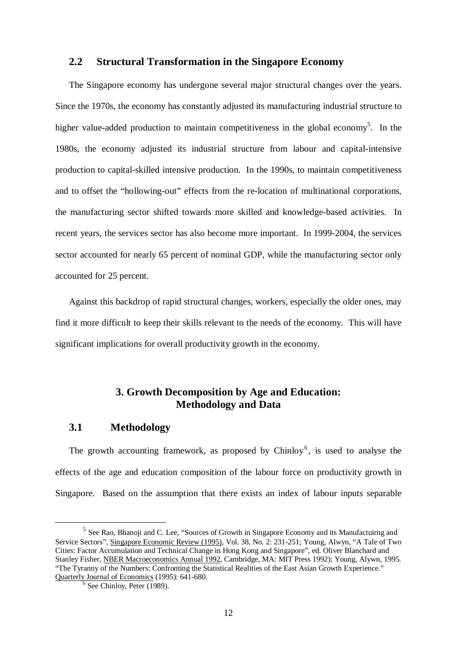#### **2.2 Structural Transformation in the Singapore Economy**

The Singapore economy has undergone several major structural changes over the years. Since the 1970s, the economy has constantly adjusted its manufacturing industrial structure to higher value-added production to maintain competitiveness in the global economy<sup>5</sup>. In the 1980s, the economy adjusted its industrial structure from labour and capital-intensive production to capital-skilled intensive production. In the 1990s, to maintain competitiveness and to offset the "hollowing-out" effects from the re-location of multinational corporations, the manufacturing sector shifted towards more skilled and knowledge-based activities. In recent years, the services sector has also become more important. In 1999-2004, the services sector accounted for nearly 65 percent of nominal GDP, while the manufacturing sector only accounted for 25 percent.

Against this backdrop of rapid structural changes, workers, especially the older ones, may find it more difficult to keep their skills relevant to the needs of the economy. This will have significant implications for overall productivity growth in the economy.

#### **3. Growth Decomposition by Age and Education: Methodology and Data**

#### **3.1 Methodology**

The growth accounting framework, as proposed by Chinloy<sup>6</sup>, is used to analyse the effects of the age and education composition of the labour force on productivity growth in Singapore. Based on the assumption that there exists an index of labour inputs separable

 <sup>5</sup> See Rao, Bhanoji and C. Lee, "Sources of Growth in Singapore Economy and its Manufactuirng and Service Sectors"*,* Singapore Economic Review (1995), Vol. 38, No. 2: 231-251; Young, Alwyn, "A Tale of Two Cities: Factor Accumulation and Technical Change in Hong Kong and Singapore", ed. Oliver Blanchard and Stanley Fisher, NBER Macroeconomics Annual 1992, Cambridge, MA: MIT Press 1992); Young, Alywn, 1995. "The Tyranny of the Numbers: Confronting the Statistical Realities of the East Asian Growth Experience." Quarterly Journal of Economics (1995): 641-680.

See Chinloy, Peter (1989).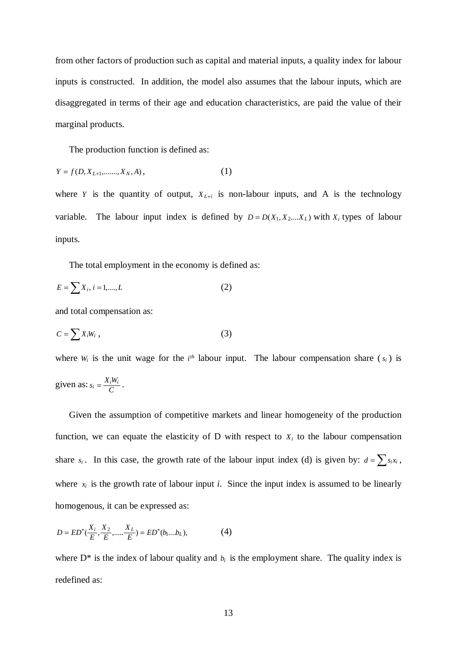from other factors of production such as capital and material inputs, a quality index for labour inputs is constructed. In addition, the model also assumes that the labour inputs, which are disaggregated in terms of their age and education characteristics, are paid the value of their marginal products.

The production function is defined as:

$$
Y = f(D, X_{L+1}, \dots, X_N, A), \tag{1}
$$

where *Y* is the quantity of output,  $X_{L+i}$  is non-labour inputs, and A is the technology variable. The labour input index is defined by  $D = D(X_1, X_2, \ldots, X_L)$  with  $X_i$  types of labour inputs.

The total employment in the economy is defined as:

$$
E = \sum X_i, \, i = 1, \dots, L \tag{2}
$$

and total compensation as:

$$
C = \sum X_i W_i \tag{3}
$$

where  $W_i$  is the unit wage for the  $i<sup>th</sup>$  labour input. The labour compensation share  $(s_i)$  is given as:  $s_i = \frac{X_i W_i}{C}$ .

Given the assumption of competitive markets and linear homogeneity of the production function, we can equate the elasticity of  $D$  with respect to  $X_i$  to the labour compensation share *s<sub>i</sub>*. In this case, the growth rate of the labour input index (d) is given by:  $d = \sum s_i x_i$ , where  $x_i$  is the growth rate of labour input *i*. Since the input index is assumed to be linearly homogenous, it can be expressed as:

$$
D = ED^*(\frac{X_i}{E}, \frac{X_2}{E}, \dots, \frac{X_L}{E}) = ED^*(b_1 \dots b_L),
$$
 (4)

where  $D^*$  is the index of labour quality and  $b_i$  is the employment share. The quality index is redefined as: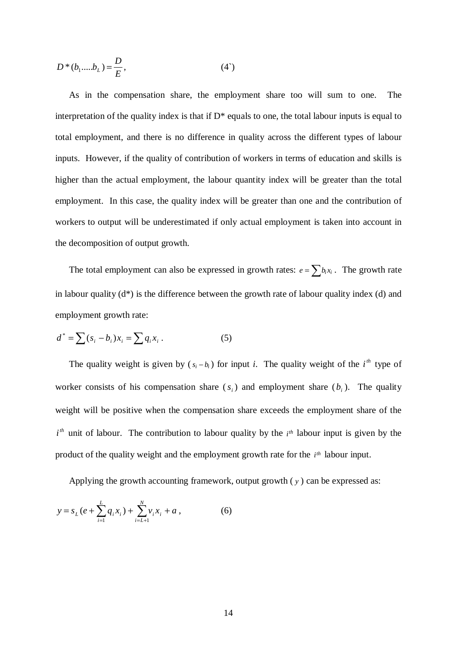$$
D^*(b_1....b_L) = \frac{D}{E},
$$
 (4')

As in the compensation share, the employment share too will sum to one. The interpretation of the quality index is that if  $D^*$  equals to one, the total labour inputs is equal to total employment, and there is no difference in quality across the different types of labour inputs. However, if the quality of contribution of workers in terms of education and skills is higher than the actual employment, the labour quantity index will be greater than the total employment. In this case, the quality index will be greater than one and the contribution of workers to output will be underestimated if only actual employment is taken into account in the decomposition of output growth.

The total employment can also be expressed in growth rates:  $e = \sum b_i x_i$ . The growth rate in labour quality  $(d^*)$  is the difference between the growth rate of labour quality index (d) and employment growth rate:

$$
d^* = \sum (s_i - b_i)x_i = \sum q_i x_i.
$$
 (5)

The quality weight is given by  $(s_i - b_i)$  for input *i*. The quality weight of the  $i^{th}$  type of worker consists of his compensation share  $(s_i)$  and employment share  $(b_i)$ . The quality weight will be positive when the compensation share exceeds the employment share of the  $i<sup>th</sup>$  unit of labour. The contribution to labour quality by the  $i<sup>th</sup>$  labour input is given by the product of the quality weight and the employment growth rate for the *i*<sup>th</sup> labour input.

Applying the growth accounting framework, output growth ( *y* ) can be expressed as:

$$
y = s_L(e + \sum_{i=1}^{L} q_i x_i) + \sum_{i=L+1}^{N} v_i x_i + a , \qquad (6)
$$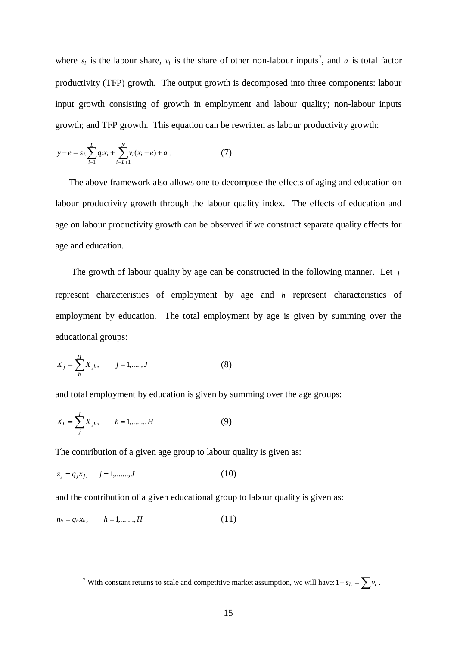where  $s_i$  is the labour share,  $v_i$  is the share of other non-labour inputs<sup>7</sup>, and *a* is total factor productivity (TFP) growth. The output growth is decomposed into three components: labour input growth consisting of growth in employment and labour quality; non-labour inputs growth; and TFP growth. This equation can be rewritten as labour productivity growth:

$$
y - e = s_L \sum_{i=1}^{L} q_i x_i + \sum_{i=L+1}^{N} v_i (x_i - e) + a . \tag{7}
$$

The above framework also allows one to decompose the effects of aging and education on labour productivity growth through the labour quality index. The effects of education and age on labour productivity growth can be observed if we construct separate quality effects for age and education.

 The growth of labour quality by age can be constructed in the following manner. Let *j* represent characteristics of employment by age and *h* represent characteristics of employment by education. The total employment by age is given by summing over the educational groups:

$$
X_j = \sum_{h=1}^{H} X_{jh}, \qquad j = 1, \dots, J
$$
 (8)

and total employment by education is given by summing over the age groups:

$$
X_h = \sum_{j}^{J} X_{jh}, \qquad h = 1, \dots, H
$$
 (9)

The contribution of a given age group to labour quality is given as:

$$
z_j = q_j x_j, \qquad j = 1, \dots, J \tag{10}
$$

and the contribution of a given educational group to labour quality is given as:

$$
n_h = q_h x_h, \qquad h = 1, \dots, H \tag{11}
$$

 $\overline{\phantom{a}}$ <sup>7</sup> With constant returns to scale and competitive market assumption, we will have:  $1-s_L = \sum v_i$ .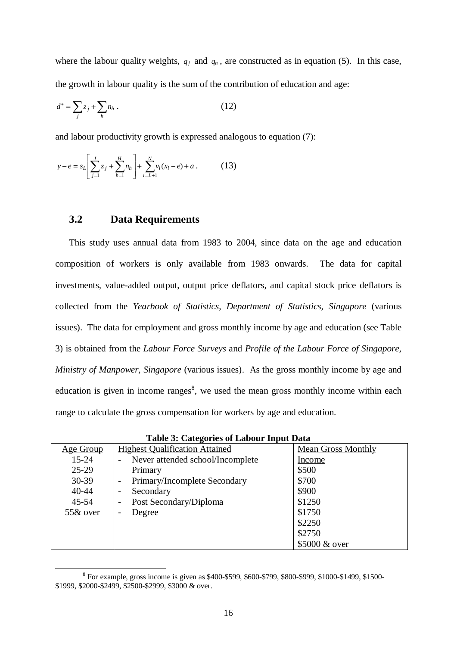where the labour quality weights,  $q_j$  and  $q_h$ , are constructed as in equation (5). In this case, the growth in labour quality is the sum of the contribution of education and age:

$$
d^* = \sum_j z_j + \sum_h n_h \,. \tag{12}
$$

and labour productivity growth is expressed analogous to equation (7):

$$
y - e = s_L \left[ \sum_{j=1}^{J} z_j + \sum_{h=1}^{H} n_h \right] + \sum_{i=L+1}^{N} v_i (x_i - e) + a \,. \tag{13}
$$

#### **3.2 Data Requirements**

This study uses annual data from 1983 to 2004, since data on the age and education composition of workers is only available from 1983 onwards. The data for capital investments, value-added output, output price deflators, and capital stock price deflators is collected from the *Yearbook of Statistics, Department of Statistics, Singapore* (various issues). The data for employment and gross monthly income by age and education (see Table 3) is obtained from the *Labour Force Surveys* and *Profile of the Labour Force of Singapore, Ministry of Manpower, Singapore* (various issues). As the gross monthly income by age and education is given in income ranges<sup>8</sup>, we used the mean gross monthly income within each range to calculate the gross compensation for workers by age and education.

|             | Table 5. Categories of Labour Input Data |                           |
|-------------|------------------------------------------|---------------------------|
| Age Group   | <b>Highest Qualification Attained</b>    | <b>Mean Gross Monthly</b> |
| $15 - 24$   | Never attended school/Incomplete         | Income                    |
| $25-29$     | Primary                                  | \$500                     |
| $30 - 39$   | Primary/Incomplete Secondary             | \$700                     |
| $40 - 44$   | Secondary<br>-                           | \$900                     |
| $45 - 54$   | Post Secondary/Diploma                   | \$1250                    |
| $55\&$ over | Degree                                   | \$1750                    |
|             |                                          | \$2250                    |
|             |                                          | \$2750                    |
|             |                                          | \$5000 & over             |

**Table 3: Categories of Labour Input Data** 

Example, gross income is given as \$400-\$599, \$600-\$799, \$800-\$999, \$1000-\$1499, \$1500-<br><sup>8</sup> For example, gross income is given as \$400-\$599, \$600-\$799, \$800-\$999, \$1000-\$1499, \$1500-\$1999, \$2000-\$2499, \$2500-\$2999, \$3000 & over.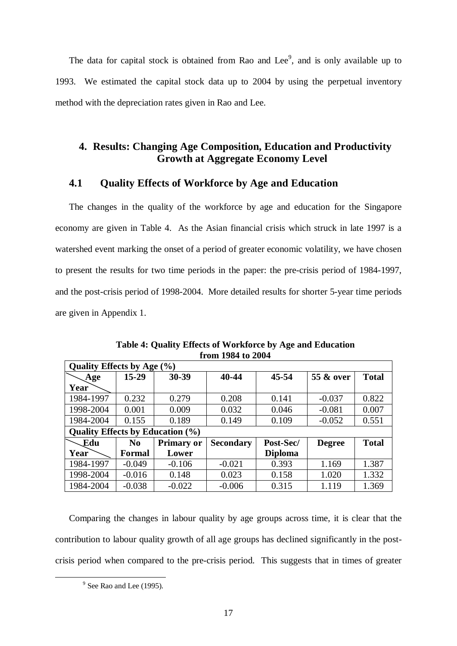The data for capital stock is obtained from Rao and Lee<sup>9</sup>, and is only available up to 1993. We estimated the capital stock data up to 2004 by using the perpetual inventory method with the depreciation rates given in Rao and Lee.

#### **4. Results: Changing Age Composition, Education and Productivity Growth at Aggregate Economy Level**

#### **4.1 Quality Effects of Workforce by Age and Education**

The changes in the quality of the workforce by age and education for the Singapore economy are given in Table 4. As the Asian financial crisis which struck in late 1997 is a watershed event marking the onset of a period of greater economic volatility, we have chosen to present the results for two time periods in the paper: the pre-crisis period of 1984-1997, and the post-crisis period of 1998-2004. More detailed results for shorter 5-year time periods are given in Appendix 1.

| Quality Effects by Age (%)              |                |                   |                  |                |               |              |
|-----------------------------------------|----------------|-------------------|------------------|----------------|---------------|--------------|
| Age                                     | $15 - 29$      | $30 - 39$         | 40-44            | 45-54          | 55 & over     | <b>Total</b> |
| Year                                    |                |                   |                  |                |               |              |
| 1984-1997                               | 0.232          | 0.279             | 0.208            | 0.141          | $-0.037$      | 0.822        |
| 1998-2004                               | 0.001          | 0.009             | 0.032            | 0.046          | $-0.081$      | 0.007        |
| 1984-2004                               | 0.155          | 0.189             | 0.149            | 0.109          | $-0.052$      | 0.551        |
| <b>Quality Effects by Education (%)</b> |                |                   |                  |                |               |              |
|                                         |                |                   |                  |                |               |              |
| Edu                                     | N <sub>0</sub> | <b>Primary or</b> | <b>Secondary</b> | Post-Sec/      | <b>Degree</b> | <b>Total</b> |
| Year                                    | Formal         | Lower             |                  | <b>Diploma</b> |               |              |
| 1984-1997                               | $-0.049$       | $-0.106$          | $-0.021$         | 0.393          | 1.169         | 1.387        |
| 1998-2004                               | $-0.016$       | 0.148             | 0.023            | 0.158          | 1.020         | 1.332        |

**Table 4: Quality Effects of Workforce by Age and Education from 1984 to 2004** 

Comparing the changes in labour quality by age groups across time, it is clear that the contribution to labour quality growth of all age groups has declined significantly in the postcrisis period when compared to the pre-crisis period. This suggests that in times of greater

 $\frac{1}{\sqrt{9}}$  $9$  See Rao and Lee (1995).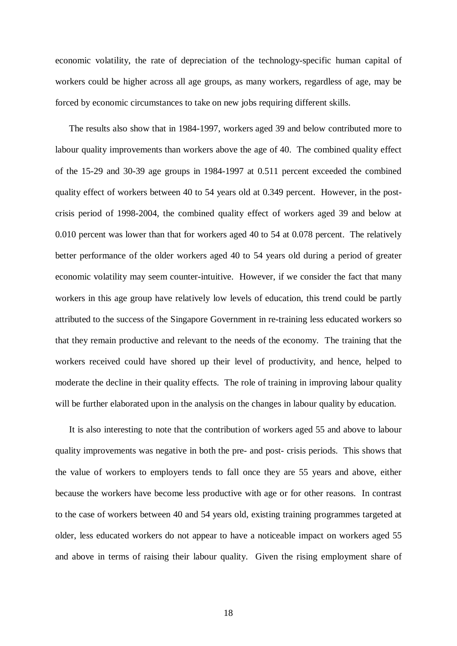economic volatility, the rate of depreciation of the technology-specific human capital of workers could be higher across all age groups, as many workers, regardless of age, may be forced by economic circumstances to take on new jobs requiring different skills.

The results also show that in 1984-1997, workers aged 39 and below contributed more to labour quality improvements than workers above the age of 40. The combined quality effect of the 15-29 and 30-39 age groups in 1984-1997 at 0.511 percent exceeded the combined quality effect of workers between 40 to 54 years old at 0.349 percent. However, in the postcrisis period of 1998-2004, the combined quality effect of workers aged 39 and below at 0.010 percent was lower than that for workers aged 40 to 54 at 0.078 percent. The relatively better performance of the older workers aged 40 to 54 years old during a period of greater economic volatility may seem counter-intuitive. However, if we consider the fact that many workers in this age group have relatively low levels of education, this trend could be partly attributed to the success of the Singapore Government in re-training less educated workers so that they remain productive and relevant to the needs of the economy. The training that the workers received could have shored up their level of productivity, and hence, helped to moderate the decline in their quality effects. The role of training in improving labour quality will be further elaborated upon in the analysis on the changes in labour quality by education.

It is also interesting to note that the contribution of workers aged 55 and above to labour quality improvements was negative in both the pre- and post- crisis periods. This shows that the value of workers to employers tends to fall once they are 55 years and above, either because the workers have become less productive with age or for other reasons. In contrast to the case of workers between 40 and 54 years old, existing training programmes targeted at older, less educated workers do not appear to have a noticeable impact on workers aged 55 and above in terms of raising their labour quality. Given the rising employment share of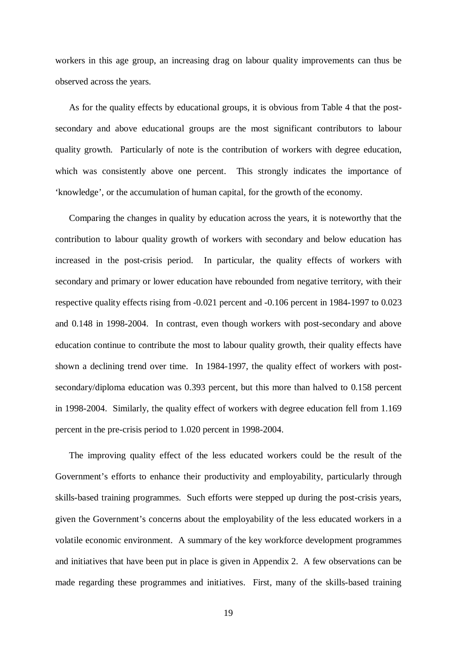workers in this age group, an increasing drag on labour quality improvements can thus be observed across the years.

As for the quality effects by educational groups, it is obvious from Table 4 that the postsecondary and above educational groups are the most significant contributors to labour quality growth. Particularly of note is the contribution of workers with degree education, which was consistently above one percent. This strongly indicates the importance of 'knowledge', or the accumulation of human capital, for the growth of the economy.

Comparing the changes in quality by education across the years, it is noteworthy that the contribution to labour quality growth of workers with secondary and below education has increased in the post-crisis period. In particular, the quality effects of workers with secondary and primary or lower education have rebounded from negative territory, with their respective quality effects rising from -0.021 percent and -0.106 percent in 1984-1997 to 0.023 and 0.148 in 1998-2004. In contrast, even though workers with post-secondary and above education continue to contribute the most to labour quality growth, their quality effects have shown a declining trend over time. In 1984-1997, the quality effect of workers with postsecondary/diploma education was 0.393 percent, but this more than halved to 0.158 percent in 1998-2004. Similarly, the quality effect of workers with degree education fell from 1.169 percent in the pre-crisis period to 1.020 percent in 1998-2004.

The improving quality effect of the less educated workers could be the result of the Government's efforts to enhance their productivity and employability, particularly through skills-based training programmes. Such efforts were stepped up during the post-crisis years, given the Government's concerns about the employability of the less educated workers in a volatile economic environment. A summary of the key workforce development programmes and initiatives that have been put in place is given in Appendix 2. A few observations can be made regarding these programmes and initiatives. First, many of the skills-based training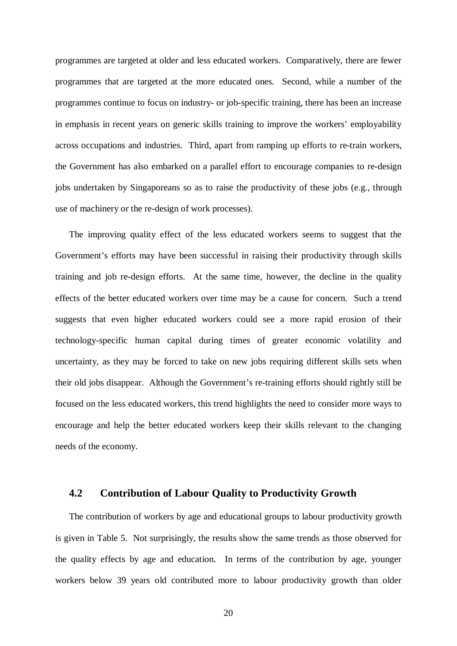programmes are targeted at older and less educated workers. Comparatively, there are fewer programmes that are targeted at the more educated ones. Second, while a number of the programmes continue to focus on industry- or job-specific training, there has been an increase in emphasis in recent years on generic skills training to improve the workers' employability across occupations and industries. Third, apart from ramping up efforts to re-train workers, the Government has also embarked on a parallel effort to encourage companies to re-design jobs undertaken by Singaporeans so as to raise the productivity of these jobs (e.g., through use of machinery or the re-design of work processes).

The improving quality effect of the less educated workers seems to suggest that the Government's efforts may have been successful in raising their productivity through skills training and job re-design efforts. At the same time, however, the decline in the quality effects of the better educated workers over time may be a cause for concern. Such a trend suggests that even higher educated workers could see a more rapid erosion of their technology-specific human capital during times of greater economic volatility and uncertainty, as they may be forced to take on new jobs requiring different skills sets when their old jobs disappear. Although the Government's re-training efforts should rightly still be focused on the less educated workers, this trend highlights the need to consider more ways to encourage and help the better educated workers keep their skills relevant to the changing needs of the economy.

#### **4.2 Contribution of Labour Quality to Productivity Growth**

The contribution of workers by age and educational groups to labour productivity growth is given in Table 5. Not surprisingly, the results show the same trends as those observed for the quality effects by age and education. In terms of the contribution by age, younger workers below 39 years old contributed more to labour productivity growth than older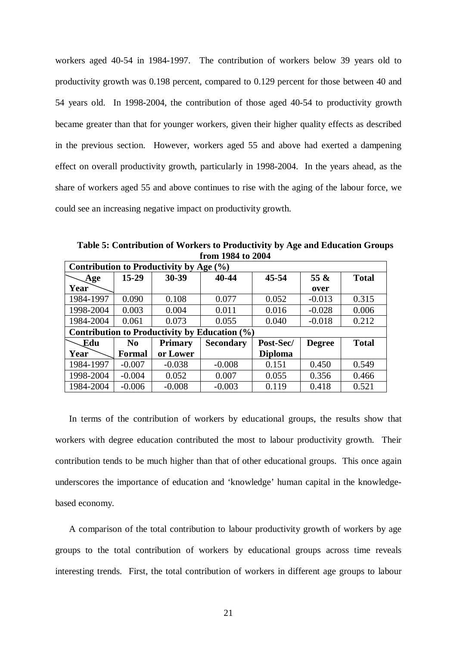workers aged 40-54 in 1984-1997. The contribution of workers below 39 years old to productivity growth was 0.198 percent, compared to 0.129 percent for those between 40 and 54 years old. In 1998-2004, the contribution of those aged 40-54 to productivity growth became greater than that for younger workers, given their higher quality effects as described in the previous section. However, workers aged 55 and above had exerted a dampening effect on overall productivity growth, particularly in 1998-2004. In the years ahead, as the share of workers aged 55 and above continues to rise with the aging of the labour force, we could see an increasing negative impact on productivity growth.

**Table 5: Contribution of Workers to Productivity by Age and Education Groups from 1984 to 2004** 

| Contribution to Productivity by Age (%) |                |                |                                               |                |               |              |
|-----------------------------------------|----------------|----------------|-----------------------------------------------|----------------|---------------|--------------|
| Age                                     | $15 - 29$      | 30-39          | 40-44                                         | 45-54          | 55 &          | <b>Total</b> |
| Year                                    |                |                |                                               |                | over          |              |
| 1984-1997                               | 0.090          | 0.108          | 0.077                                         | 0.052          | $-0.013$      | 0.315        |
| 1998-2004                               | 0.003          | 0.004          | 0.011                                         | 0.016          | $-0.028$      | 0.006        |
| 1984-2004                               | 0.061          | 0.073          | 0.055                                         | 0.040          | $-0.018$      | 0.212        |
|                                         |                |                | Contribution to Productivity by Education (%) |                |               |              |
| <b>Edu</b>                              | N <sub>0</sub> | <b>Primary</b> | <b>Secondary</b>                              | Post-Sec/      | <b>Degree</b> | <b>Total</b> |
| Year                                    | <b>Formal</b>  | or Lower       |                                               | <b>Diploma</b> |               |              |
| 1984-1997                               | $-0.007$       | $-0.038$       | $-0.008$                                      | 0.151          | 0.450         | 0.549        |
| 1998-2004                               | $-0.004$       | 0.052          | 0.007                                         | 0.055          | 0.356         | 0.466        |
| 1984-2004                               | $-0.006$       | $-0.008$       | $-0.003$                                      | 0.119          | 0.418         | 0.521        |

In terms of the contribution of workers by educational groups, the results show that workers with degree education contributed the most to labour productivity growth. Their contribution tends to be much higher than that of other educational groups. This once again underscores the importance of education and 'knowledge' human capital in the knowledgebased economy.

A comparison of the total contribution to labour productivity growth of workers by age groups to the total contribution of workers by educational groups across time reveals interesting trends. First, the total contribution of workers in different age groups to labour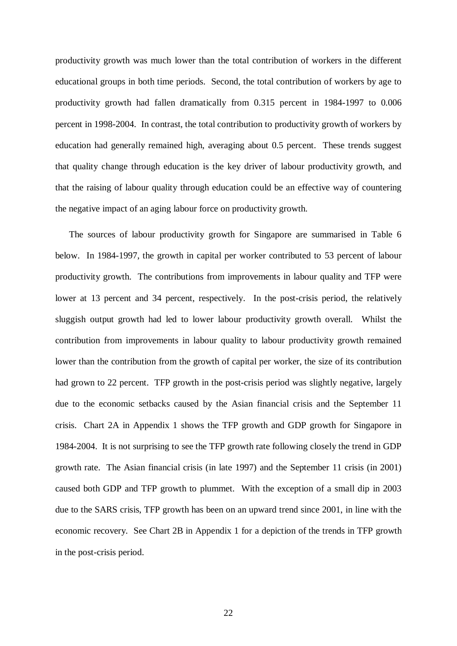productivity growth was much lower than the total contribution of workers in the different educational groups in both time periods. Second, the total contribution of workers by age to productivity growth had fallen dramatically from 0.315 percent in 1984-1997 to 0.006 percent in 1998-2004. In contrast, the total contribution to productivity growth of workers by education had generally remained high, averaging about 0.5 percent. These trends suggest that quality change through education is the key driver of labour productivity growth, and that the raising of labour quality through education could be an effective way of countering the negative impact of an aging labour force on productivity growth.

The sources of labour productivity growth for Singapore are summarised in Table 6 below. In 1984-1997, the growth in capital per worker contributed to 53 percent of labour productivity growth. The contributions from improvements in labour quality and TFP were lower at 13 percent and 34 percent, respectively. In the post-crisis period, the relatively sluggish output growth had led to lower labour productivity growth overall. Whilst the contribution from improvements in labour quality to labour productivity growth remained lower than the contribution from the growth of capital per worker, the size of its contribution had grown to 22 percent. TFP growth in the post-crisis period was slightly negative, largely due to the economic setbacks caused by the Asian financial crisis and the September 11 crisis. Chart 2A in Appendix 1 shows the TFP growth and GDP growth for Singapore in 1984-2004. It is not surprising to see the TFP growth rate following closely the trend in GDP growth rate. The Asian financial crisis (in late 1997) and the September 11 crisis (in 2001) caused both GDP and TFP growth to plummet. With the exception of a small dip in 2003 due to the SARS crisis, TFP growth has been on an upward trend since 2001, in line with the economic recovery. See Chart 2B in Appendix 1 for a depiction of the trends in TFP growth in the post-crisis period.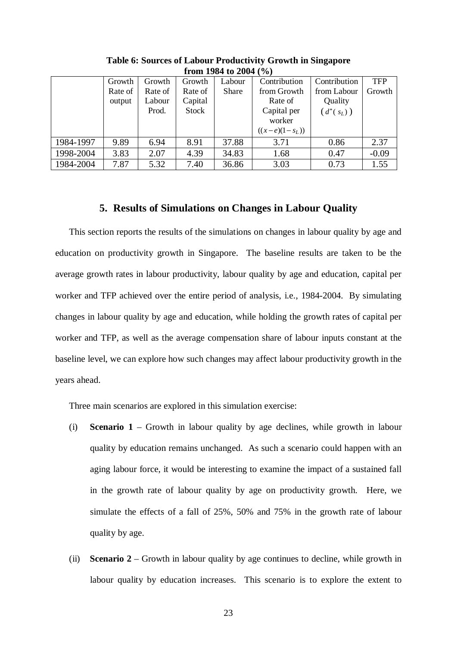| $11 \, \text{GHz}$ $12 \, \text{GHz}$ to $2 \, \text{GHz}$ (20 |         |         |         |        |                  |              |            |
|----------------------------------------------------------------|---------|---------|---------|--------|------------------|--------------|------------|
|                                                                | Growth  | Growth  | Growth  | Labour | Contribution     | Contribution | <b>TFP</b> |
|                                                                | Rate of | Rate of | Rate of | Share  | from Growth      | from Labour  | Growth     |
|                                                                | output  | Labour  | Capital |        | Rate of          | Quality      |            |
|                                                                |         | Prod.   | Stock   |        | Capital per      | $(d^*(s_L))$ |            |
|                                                                |         |         |         |        | worker           |              |            |
|                                                                |         |         |         |        | $((x-e)(1-s_L))$ |              |            |
| 1984-1997                                                      | 9.89    | 6.94    | 8.91    | 37.88  | 3.71             | 0.86         | 2.37       |
| 1998-2004                                                      | 3.83    | 2.07    | 4.39    | 34.83  | 1.68             | 0.47         | $-0.09$    |
| 1984-2004                                                      | 7.87    | 5.32    | 7.40    | 36.86  | 3.03             | 0.73         | 1.55       |

**Table 6: Sources of Labour Productivity Growth in Singapore from 1984 to 2004 (%)**

#### **5. Results of Simulations on Changes in Labour Quality**

This section reports the results of the simulations on changes in labour quality by age and education on productivity growth in Singapore. The baseline results are taken to be the average growth rates in labour productivity, labour quality by age and education, capital per worker and TFP achieved over the entire period of analysis, i.e., 1984-2004. By simulating changes in labour quality by age and education, while holding the growth rates of capital per worker and TFP, as well as the average compensation share of labour inputs constant at the baseline level, we can explore how such changes may affect labour productivity growth in the years ahead.

Three main scenarios are explored in this simulation exercise:

- (i) **Scenario 1** Growth in labour quality by age declines, while growth in labour quality by education remains unchanged. As such a scenario could happen with an aging labour force, it would be interesting to examine the impact of a sustained fall in the growth rate of labour quality by age on productivity growth. Here, we simulate the effects of a fall of 25%, 50% and 75% in the growth rate of labour quality by age.
- (ii) **Scenario 2** Growth in labour quality by age continues to decline, while growth in labour quality by education increases. This scenario is to explore the extent to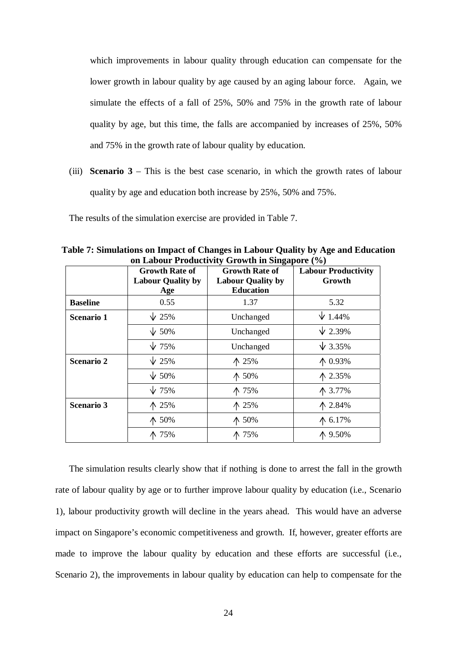which improvements in labour quality through education can compensate for the lower growth in labour quality by age caused by an aging labour force. Again, we simulate the effects of a fall of 25%, 50% and 75% in the growth rate of labour quality by age, but this time, the falls are accompanied by increases of 25%, 50% and 75% in the growth rate of labour quality by education.

(iii) **Scenario 3** – This is the best case scenario, in which the growth rates of labour quality by age and education both increase by 25%, 50% and 75%.

The results of the simulation exercise are provided in Table 7.

|                   | <b>Growth Rate of</b><br><b>Labour Quality by</b><br>Age | <b>Growth Rate of</b><br><b>Labour Quality by</b><br><b>Education</b> | <b>Labour Productivity</b><br>Growth |
|-------------------|----------------------------------------------------------|-----------------------------------------------------------------------|--------------------------------------|
| <b>Baseline</b>   | 0.55                                                     | 1.37                                                                  | 5.32                                 |
| <b>Scenario 1</b> | $\sqrt{25\%}$                                            | Unchanged                                                             | $\sqrt{1.44\%}$                      |
|                   | $\sqrt{50\%}$                                            | Unchanged                                                             | $\sqrt{2.39\%}$                      |
|                   | $\sqrt{75\%}$                                            | Unchanged                                                             | $\sqrt{3.35\%}$                      |
| <b>Scenario 2</b> | $\sqrt{25\%}$                                            | ↑ 25%                                                                 | ↑ 0.93%                              |
|                   | $\sqrt{50\%}$                                            | ↑ 50%                                                                 | ↑ 2.35%                              |
|                   | $\sqrt{75\%}$                                            | ↑ 75%                                                                 | ↑ 3.77%                              |
| <b>Scenario 3</b> | $\Lambda$ 25%                                            | ↑ 25%                                                                 | ↑ 2.84%                              |
|                   | $\uparrow$ 50%                                           | $\uparrow$ 50%                                                        | ↑ 6.17%                              |
|                   | ↑ 75%                                                    | ↑ 75%                                                                 | ↑ 9.50%                              |

**Table 7: Simulations on Impact of Changes in Labour Quality by Age and Education on Labour Productivity Growth in Singapore (%)**

The simulation results clearly show that if nothing is done to arrest the fall in the growth rate of labour quality by age or to further improve labour quality by education (i.e., Scenario 1), labour productivity growth will decline in the years ahead. This would have an adverse impact on Singapore's economic competitiveness and growth. If, however, greater efforts are made to improve the labour quality by education and these efforts are successful (i.e., Scenario 2), the improvements in labour quality by education can help to compensate for the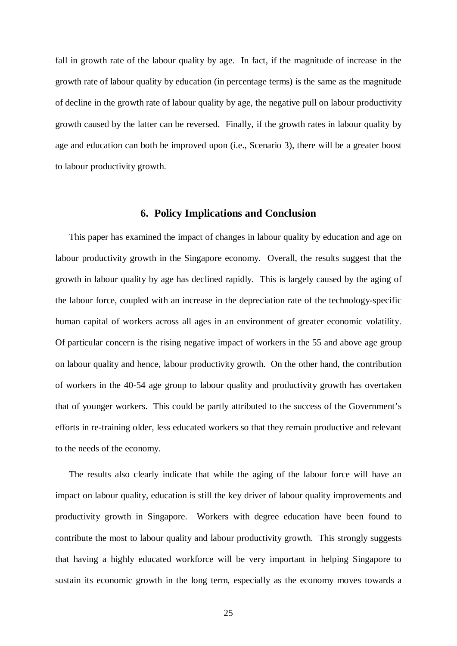fall in growth rate of the labour quality by age. In fact, if the magnitude of increase in the growth rate of labour quality by education (in percentage terms) is the same as the magnitude of decline in the growth rate of labour quality by age, the negative pull on labour productivity growth caused by the latter can be reversed. Finally, if the growth rates in labour quality by age and education can both be improved upon (i.e., Scenario 3), there will be a greater boost to labour productivity growth.

#### **6. Policy Implications and Conclusion**

This paper has examined the impact of changes in labour quality by education and age on labour productivity growth in the Singapore economy. Overall, the results suggest that the growth in labour quality by age has declined rapidly. This is largely caused by the aging of the labour force, coupled with an increase in the depreciation rate of the technology-specific human capital of workers across all ages in an environment of greater economic volatility. Of particular concern is the rising negative impact of workers in the 55 and above age group on labour quality and hence, labour productivity growth. On the other hand, the contribution of workers in the 40-54 age group to labour quality and productivity growth has overtaken that of younger workers. This could be partly attributed to the success of the Government's efforts in re-training older, less educated workers so that they remain productive and relevant to the needs of the economy.

The results also clearly indicate that while the aging of the labour force will have an impact on labour quality, education is still the key driver of labour quality improvements and productivity growth in Singapore. Workers with degree education have been found to contribute the most to labour quality and labour productivity growth. This strongly suggests that having a highly educated workforce will be very important in helping Singapore to sustain its economic growth in the long term, especially as the economy moves towards a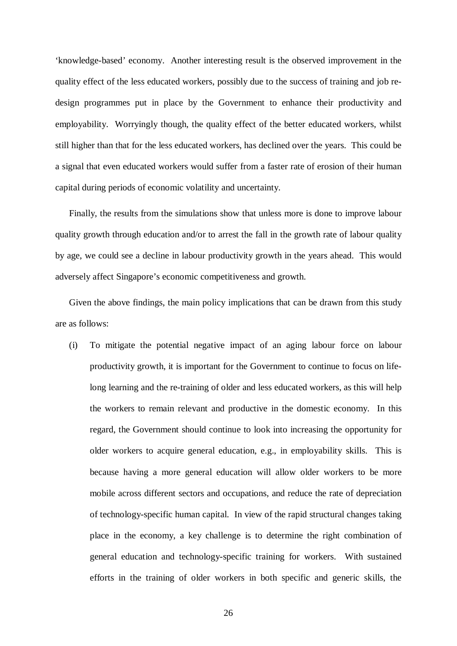'knowledge-based' economy. Another interesting result is the observed improvement in the quality effect of the less educated workers, possibly due to the success of training and job redesign programmes put in place by the Government to enhance their productivity and employability. Worryingly though, the quality effect of the better educated workers, whilst still higher than that for the less educated workers, has declined over the years. This could be a signal that even educated workers would suffer from a faster rate of erosion of their human capital during periods of economic volatility and uncertainty.

Finally, the results from the simulations show that unless more is done to improve labour quality growth through education and/or to arrest the fall in the growth rate of labour quality by age, we could see a decline in labour productivity growth in the years ahead. This would adversely affect Singapore's economic competitiveness and growth.

Given the above findings, the main policy implications that can be drawn from this study are as follows:

(i) To mitigate the potential negative impact of an aging labour force on labour productivity growth, it is important for the Government to continue to focus on lifelong learning and the re-training of older and less educated workers, as this will help the workers to remain relevant and productive in the domestic economy. In this regard, the Government should continue to look into increasing the opportunity for older workers to acquire general education, e.g., in employability skills. This is because having a more general education will allow older workers to be more mobile across different sectors and occupations, and reduce the rate of depreciation of technology-specific human capital. In view of the rapid structural changes taking place in the economy, a key challenge is to determine the right combination of general education and technology-specific training for workers. With sustained efforts in the training of older workers in both specific and generic skills, the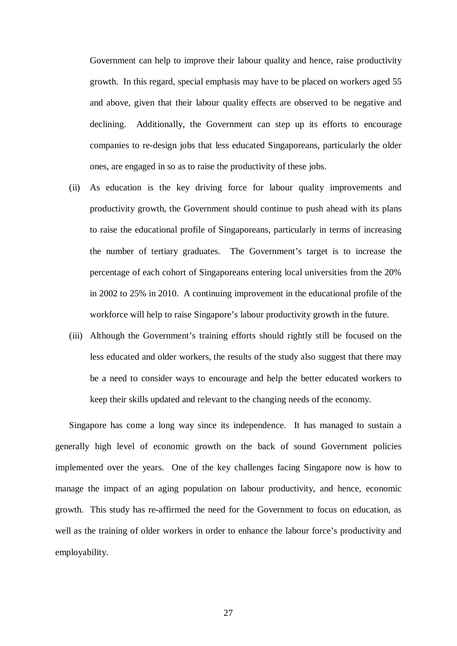Government can help to improve their labour quality and hence, raise productivity growth. In this regard, special emphasis may have to be placed on workers aged 55 and above, given that their labour quality effects are observed to be negative and declining. Additionally, the Government can step up its efforts to encourage companies to re-design jobs that less educated Singaporeans, particularly the older ones, are engaged in so as to raise the productivity of these jobs.

- (ii) As education is the key driving force for labour quality improvements and productivity growth, the Government should continue to push ahead with its plans to raise the educational profile of Singaporeans, particularly in terms of increasing the number of tertiary graduates. The Government's target is to increase the percentage of each cohort of Singaporeans entering local universities from the 20% in 2002 to 25% in 2010. A continuing improvement in the educational profile of the workforce will help to raise Singapore's labour productivity growth in the future.
- (iii) Although the Government's training efforts should rightly still be focused on the less educated and older workers, the results of the study also suggest that there may be a need to consider ways to encourage and help the better educated workers to keep their skills updated and relevant to the changing needs of the economy.

Singapore has come a long way since its independence. It has managed to sustain a generally high level of economic growth on the back of sound Government policies implemented over the years. One of the key challenges facing Singapore now is how to manage the impact of an aging population on labour productivity, and hence, economic growth. This study has re-affirmed the need for the Government to focus on education, as well as the training of older workers in order to enhance the labour force's productivity and employability.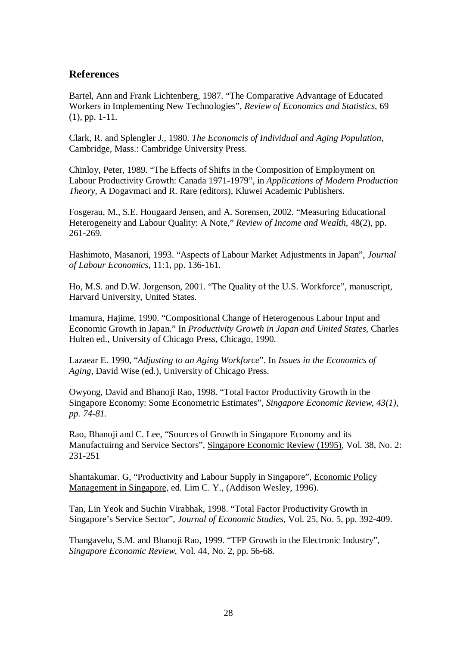#### **References**

Bartel, Ann and Frank Lichtenberg, 1987. "The Comparative Advantage of Educated Workers in Implementing New Technologies", *Review of Economics and Statistics,* 69 (1), pp. 1-11.

Clark, R. and Splengler J., 1980. *The Economcis of Individual and Aging Population,* Cambridge, Mass.: Cambridge University Press.

Chinloy, Peter, 1989. "The Effects of Shifts in the Composition of Employment on Labour Productivity Growth: Canada 1971-1979", in *Applications of Modern Production Theory*, A Dogavmaci and R. Rare (editors), Kluwei Academic Publishers.

Fosgerau, M., S.E. Hougaard Jensen, and A. Sorensen, 2002. "Measuring Educational Heterogeneity and Labour Quality: A Note," *Review of Income and Wealth*, 48(2), pp. 261-269.

Hashimoto, Masanori, 1993. "Aspects of Labour Market Adjustments in Japan", *Journal of Labour Economics*, 11:1, pp. 136-161.

Ho, M.S. and D.W. Jorgenson, 2001. "The Quality of the U.S. Workforce", manuscript, Harvard University, United States.

Imamura, Hajime, 1990. "Compositional Change of Heterogenous Labour Input and Economic Growth in Japan." In *Productivity Growth in Japan and United States*, Charles Hulten ed., University of Chicago Press, Chicago, 1990.

Lazaear E. 1990, "*Adjusting to an Aging Workforce*". In *Issues in the Economics of Aging*, David Wise (ed.), University of Chicago Press.

Owyong, David and Bhanoji Rao, 1998. "Total Factor Productivity Growth in the Singapore Economy: Some Econometric Estimates", *Singapore Economic Review, 43(1), pp. 74-81.* 

Rao, Bhanoji and C. Lee, "Sources of Growth in Singapore Economy and its Manufactuirng and Service Sectors"*,* Singapore Economic Review (1995), Vol. 38, No. 2: 231-251

Shantakumar. G, "Productivity and Labour Supply in Singapore", Economic Policy Management in Singapore, ed. Lim C. Y., (Addison Wesley, 1996).

Tan, Lin Yeok and Suchin Virabhak, 1998. "Total Factor Productivity Growth in Singapore's Service Sector", *Journal of Economic Studies*, Vol. 25, No. 5, pp. 392-409.

Thangavelu, S.M. and Bhanoji Rao, 1999. "TFP Growth in the Electronic Industry", *Singapore Economic Review*, Vol. 44, No. 2, pp. 56-68.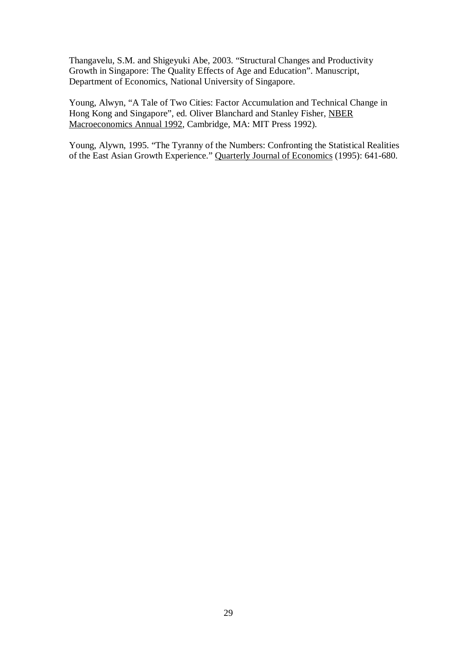Thangavelu, S.M. and Shigeyuki Abe, 2003. "Structural Changes and Productivity Growth in Singapore: The Quality Effects of Age and Education". Manuscript, Department of Economics, National University of Singapore.

Young, Alwyn, "A Tale of Two Cities: Factor Accumulation and Technical Change in Hong Kong and Singapore", ed. Oliver Blanchard and Stanley Fisher, NBER Macroeconomics Annual 1992, Cambridge, MA: MIT Press 1992).

Young, Alywn, 1995. "The Tyranny of the Numbers: Confronting the Statistical Realities of the East Asian Growth Experience." Quarterly Journal of Economics (1995): 641-680.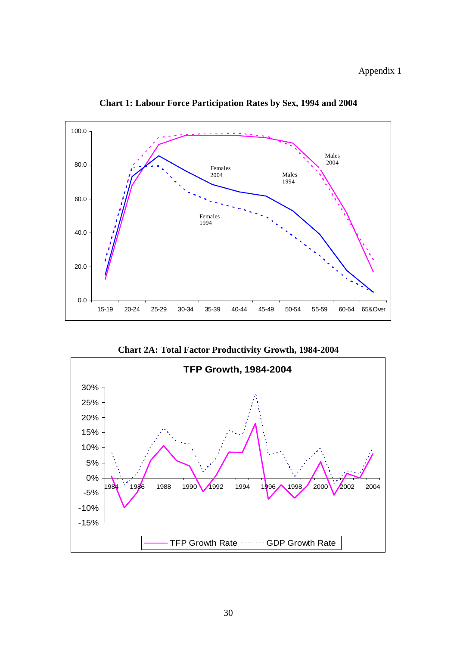Appendix 1



**Chart 1: Labour Force Participation Rates by Sex, 1994 and 2004** 

**Chart 2A: Total Factor Productivity Growth, 1984-2004**

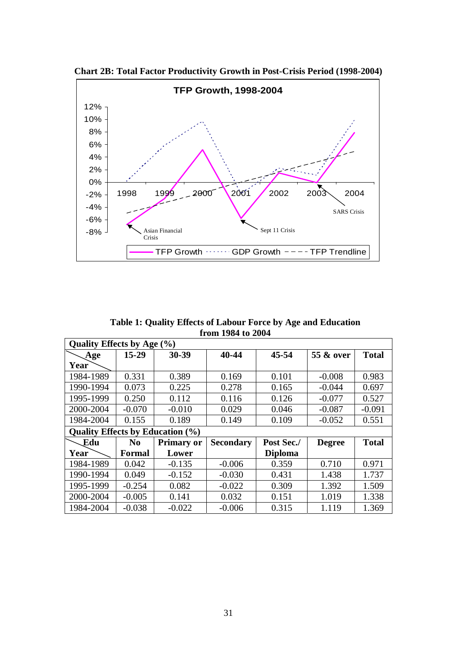

**Chart 2B: Total Factor Productivity Growth in Post-Crisis Period (1998-2004)**

**Table 1: Quality Effects of Labour Force by Age and Education from 1984 to 2004** 

| <b>Quality Effects by Age (%)</b>       |               |                   |                  |                |               |              |
|-----------------------------------------|---------------|-------------------|------------------|----------------|---------------|--------------|
| Age                                     | $15 - 29$     | 30-39             | 40-44            | $45 - 54$      | 55 & over     | <b>Total</b> |
| Year                                    |               |                   |                  |                |               |              |
| 1984-1989                               | 0.331         | 0.389             | 0.169            | 0.101          | $-0.008$      | 0.983        |
| 1990-1994                               | 0.073         | 0.225             | 0.278            | 0.165          | $-0.044$      | 0.697        |
| 1995-1999                               | 0.250         | 0.112             | 0.116            | 0.126          | $-0.077$      | 0.527        |
| 2000-2004                               | $-0.070$      | $-0.010$          | 0.029            | 0.046          | $-0.087$      | $-0.091$     |
| 1984-2004                               | 0.155         | 0.189             | 0.149            | 0.109          | $-0.052$      | 0.551        |
| <b>Quality Effects by Education (%)</b> |               |                   |                  |                |               |              |
| Edu                                     | $\bf No$      | <b>Primary or</b> | <b>Secondary</b> | Post Sec./     | <b>Degree</b> | <b>Total</b> |
| Year                                    | <b>Formal</b> | Lower             |                  | <b>Diploma</b> |               |              |
| 1984-1989                               | 0.042         | $-0.135$          | $-0.006$         | 0.359          | 0.710         | 0.971        |
| 1990-1994                               | 0.049         | $-0.152$          | $-0.030$         | 0.431          | 1.438         | 1.737        |
| 1995-1999                               | $-0.254$      | 0.082             | $-0.022$         | 0.309          | 1.392         | 1.509        |
| 2000-2004                               | $-0.005$      | 0.141             | 0.032            | 0.151          | 1.019         | 1.338        |
| 1984-2004                               | $-0.038$      | $-0.022$          | $-0.006$         | 0.315          | 1.119         | 1.369        |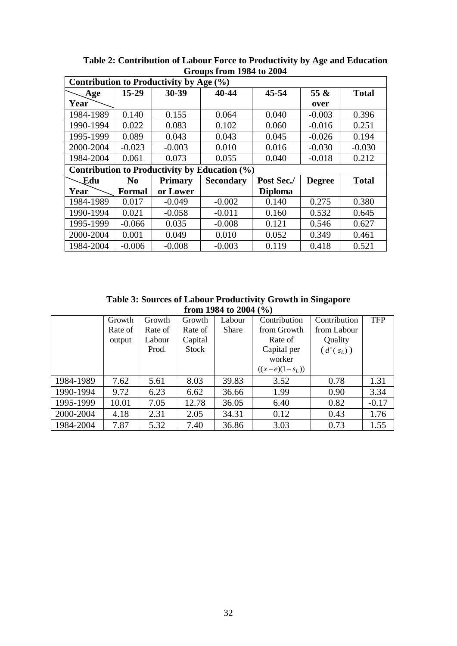|           |                | Contribution to Productivity by Age (%) |                                               |                |               |              |
|-----------|----------------|-----------------------------------------|-----------------------------------------------|----------------|---------------|--------------|
| Age       | $15 - 29$      | 30-39                                   | 40-44                                         | $45 - 54$      | 55 $\&$       | <b>Total</b> |
| Year      |                |                                         |                                               |                | over          |              |
| 1984-1989 | 0.140          | 0.155                                   | 0.064                                         | 0.040          | $-0.003$      | 0.396        |
| 1990-1994 | 0.022          | 0.083                                   | 0.102                                         | 0.060          | $-0.016$      | 0.251        |
| 1995-1999 | 0.089          | 0.043                                   | 0.043                                         | 0.045          | $-0.026$      | 0.194        |
| 2000-2004 | $-0.023$       | $-0.003$                                | 0.010                                         | 0.016          | $-0.030$      | $-0.030$     |
| 1984-2004 | 0.061          | 0.073                                   | 0.055                                         | 0.040          | $-0.018$      | 0.212        |
|           |                |                                         | Contribution to Productivity by Education (%) |                |               |              |
| Edu       | N <sub>0</sub> | <b>Primary</b>                          | <b>Secondary</b>                              | Post Sec./     | <b>Degree</b> | <b>Total</b> |
| Year      | <b>Formal</b>  | or Lower                                |                                               | <b>Diploma</b> |               |              |
| 1984-1989 | 0.017          | $-0.049$                                | $-0.002$                                      | 0.140          | 0.275         | 0.380        |
| 1990-1994 | 0.021          | $-0.058$                                | $-0.011$                                      | 0.160          | 0.532         | 0.645        |
| 1995-1999 | $-0.066$       | 0.035                                   | $-0.008$                                      | 0.121          | 0.546         | 0.627        |
| 2000-2004 | 0.001          | 0.049                                   | 0.010                                         | 0.052          | 0.349         | 0.461        |
| 1984-2004 | $-0.006$       | $-0.008$                                | $-0.003$                                      | 0.119          | 0.418         | 0.521        |

**Table 2: Contribution of Labour Force to Productivity by Age and Education Groups from 1984 to 2004** 

**Table 3: Sources of Labour Productivity Growth in Singapore from 1984 to 2004 (%)**

|           | Growth  | Growth  | Growth  | Labour | Contribution     | Contribution | <b>TFP</b> |
|-----------|---------|---------|---------|--------|------------------|--------------|------------|
|           | Rate of | Rate of | Rate of | Share  | from Growth      | from Labour  |            |
|           | output  | Labour  | Capital |        | Rate of          | Quality      |            |
|           |         | Prod.   | Stock   |        | Capital per      | $(d^*(s_L))$ |            |
|           |         |         |         |        | worker           |              |            |
|           |         |         |         |        | $((x-e)(1-s_L))$ |              |            |
| 1984-1989 | 7.62    | 5.61    | 8.03    | 39.83  | 3.52             | 0.78         | 1.31       |
| 1990-1994 | 9.72    | 6.23    | 6.62    | 36.66  | 1.99             | 0.90         | 3.34       |
| 1995-1999 | 10.01   | 7.05    | 12.78   | 36.05  | 6.40             | 0.82         | $-0.17$    |
| 2000-2004 | 4.18    | 2.31    | 2.05    | 34.31  | 0.12             | 0.43         | 1.76       |
| 1984-2004 | 7.87    | 5.32    | 7.40    | 36.86  | 3.03             | 0.73         | 1.55       |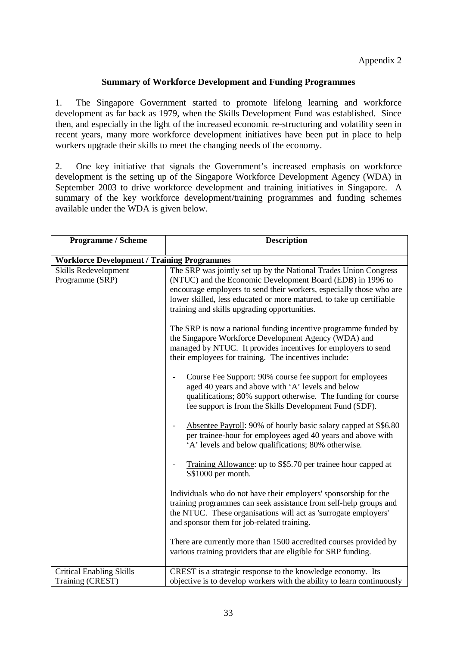#### **Summary of Workforce Development and Funding Programmes**

1. The Singapore Government started to promote lifelong learning and workforce development as far back as 1979, when the Skills Development Fund was established. Since then, and especially in the light of the increased economic re-structuring and volatility seen in recent years, many more workforce development initiatives have been put in place to help workers upgrade their skills to meet the changing needs of the economy.

2. One key initiative that signals the Government's increased emphasis on workforce development is the setting up of the Singapore Workforce Development Agency (WDA) in September 2003 to drive workforce development and training initiatives in Singapore. A summary of the key workforce development/training programmes and funding schemes available under the WDA is given below.

| <b>Programme / Scheme</b>                           | <b>Description</b>                                                                                                                                                                                                                                                                                                            |
|-----------------------------------------------------|-------------------------------------------------------------------------------------------------------------------------------------------------------------------------------------------------------------------------------------------------------------------------------------------------------------------------------|
| <b>Workforce Development / Training Programmes</b>  |                                                                                                                                                                                                                                                                                                                               |
| Skills Redevelopment<br>Programme (SRP)             | The SRP was jointly set up by the National Trades Union Congress<br>(NTUC) and the Economic Development Board (EDB) in 1996 to<br>encourage employers to send their workers, especially those who are<br>lower skilled, less educated or more matured, to take up certifiable<br>training and skills upgrading opportunities. |
|                                                     | The SRP is now a national funding incentive programme funded by<br>the Singapore Workforce Development Agency (WDA) and<br>managed by NTUC. It provides incentives for employers to send<br>their employees for training. The incentives include:                                                                             |
|                                                     | Course Fee Support: 90% course fee support for employees<br>aged 40 years and above with 'A' levels and below<br>qualifications; 80% support otherwise. The funding for course<br>fee support is from the Skills Development Fund (SDF).                                                                                      |
|                                                     | Absentee Payroll: 90% of hourly basic salary capped at S\$6.80<br>per trainee-hour for employees aged 40 years and above with<br>'A' levels and below qualifications; 80% otherwise.                                                                                                                                          |
|                                                     | Training Allowance: up to S\$5.70 per trainee hour capped at<br>S\$1000 per month.                                                                                                                                                                                                                                            |
|                                                     | Individuals who do not have their employers' sponsorship for the<br>training programmes can seek assistance from self-help groups and<br>the NTUC. These organisations will act as 'surrogate employers'<br>and sponsor them for job-related training.                                                                        |
|                                                     | There are currently more than 1500 accredited courses provided by<br>various training providers that are eligible for SRP funding.                                                                                                                                                                                            |
| <b>Critical Enabling Skills</b><br>Training (CREST) | CREST is a strategic response to the knowledge economy. Its<br>objective is to develop workers with the ability to learn continuously                                                                                                                                                                                         |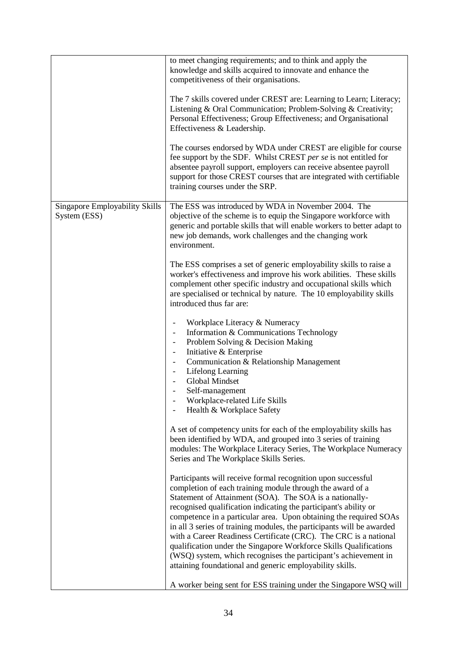|                                                | to meet changing requirements; and to think and apply the<br>knowledge and skills acquired to innovate and enhance the<br>competitiveness of their organisations.                                                                                                                                                                                                                                                                                                                                                                                                                                                                                                              |
|------------------------------------------------|--------------------------------------------------------------------------------------------------------------------------------------------------------------------------------------------------------------------------------------------------------------------------------------------------------------------------------------------------------------------------------------------------------------------------------------------------------------------------------------------------------------------------------------------------------------------------------------------------------------------------------------------------------------------------------|
|                                                | The 7 skills covered under CREST are: Learning to Learn; Literacy;<br>Listening & Oral Communication; Problem-Solving & Creativity;<br>Personal Effectiveness; Group Effectiveness; and Organisational<br>Effectiveness & Leadership.                                                                                                                                                                                                                                                                                                                                                                                                                                          |
|                                                | The courses endorsed by WDA under CREST are eligible for course<br>fee support by the SDF. Whilst CREST per se is not entitled for<br>absentee payroll support, employers can receive absentee payroll<br>support for those CREST courses that are integrated with certifiable<br>training courses under the SRP.                                                                                                                                                                                                                                                                                                                                                              |
| Singapore Employability Skills<br>System (ESS) | The ESS was introduced by WDA in November 2004. The<br>objective of the scheme is to equip the Singapore workforce with<br>generic and portable skills that will enable workers to better adapt to<br>new job demands, work challenges and the changing work<br>environment.                                                                                                                                                                                                                                                                                                                                                                                                   |
|                                                | The ESS comprises a set of generic employability skills to raise a<br>worker's effectiveness and improve his work abilities. These skills<br>complement other specific industry and occupational skills which<br>are specialised or technical by nature. The 10 employability skills<br>introduced thus far are:                                                                                                                                                                                                                                                                                                                                                               |
|                                                | Workplace Literacy & Numeracy<br>$\overline{\phantom{a}}$<br>Information & Communications Technology<br>$\overline{\phantom{a}}$<br>Problem Solving & Decision Making<br>Initiative & Enterprise<br>Communication & Relationship Management<br>Lifelong Learning<br>Global Mindset<br>Self-management<br>Workplace-related Life Skills<br>Health & Workplace Safety                                                                                                                                                                                                                                                                                                            |
|                                                | A set of competency units for each of the employability skills has<br>been identified by WDA, and grouped into 3 series of training<br>modules: The Workplace Literacy Series, The Workplace Numeracy<br>Series and The Workplace Skills Series.                                                                                                                                                                                                                                                                                                                                                                                                                               |
|                                                | Participants will receive formal recognition upon successful<br>completion of each training module through the award of a<br>Statement of Attainment (SOA). The SOA is a nationally-<br>recognised qualification indicating the participant's ability or<br>competence in a particular area. Upon obtaining the required SOAs<br>in all 3 series of training modules, the participants will be awarded<br>with a Career Readiness Certificate (CRC). The CRC is a national<br>qualification under the Singapore Workforce Skills Qualifications<br>(WSQ) system, which recognises the participant's achievement in<br>attaining foundational and generic employability skills. |
|                                                | A worker being sent for ESS training under the Singapore WSQ will                                                                                                                                                                                                                                                                                                                                                                                                                                                                                                                                                                                                              |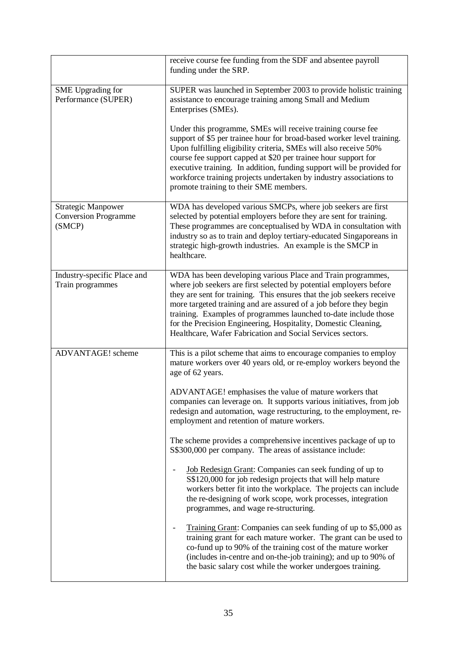|                                                                    | receive course fee funding from the SDF and absentee payroll<br>funding under the SRP.                                                                                                                                                                                                                                                                                                                                                                                             |
|--------------------------------------------------------------------|------------------------------------------------------------------------------------------------------------------------------------------------------------------------------------------------------------------------------------------------------------------------------------------------------------------------------------------------------------------------------------------------------------------------------------------------------------------------------------|
| <b>SME</b> Upgrading for<br>Performance (SUPER)                    | SUPER was launched in September 2003 to provide holistic training<br>assistance to encourage training among Small and Medium<br>Enterprises (SMEs).                                                                                                                                                                                                                                                                                                                                |
|                                                                    | Under this programme, SMEs will receive training course fee<br>support of \$5 per trainee hour for broad-based worker level training.<br>Upon fulfilling eligibility criteria, SMEs will also receive 50%<br>course fee support capped at \$20 per trainee hour support for<br>executive training. In addition, funding support will be provided for<br>workforce training projects undertaken by industry associations to<br>promote training to their SME members.               |
| <b>Strategic Manpower</b><br><b>Conversion Programme</b><br>(SMCP) | WDA has developed various SMCPs, where job seekers are first<br>selected by potential employers before they are sent for training.<br>These programmes are conceptualised by WDA in consultation with<br>industry so as to train and deploy tertiary-educated Singaporeans in<br>strategic high-growth industries. An example is the SMCP in<br>healthcare.                                                                                                                        |
| Industry-specific Place and<br>Train programmes                    | WDA has been developing various Place and Train programmes,<br>where job seekers are first selected by potential employers before<br>they are sent for training. This ensures that the job seekers receive<br>more targeted training and are assured of a job before they begin<br>training. Examples of programmes launched to-date include those<br>for the Precision Engineering, Hospitality, Domestic Cleaning,<br>Healthcare, Wafer Fabrication and Social Services sectors. |
| <b>ADVANTAGE!</b> scheme                                           | This is a pilot scheme that aims to encourage companies to employ<br>mature workers over 40 years old, or re-employ workers beyond the<br>age of 62 years.                                                                                                                                                                                                                                                                                                                         |
|                                                                    | ADVANTAGE! emphasises the value of mature workers that<br>companies can leverage on. It supports various initiatives, from job<br>redesign and automation, wage restructuring, to the employment, re-<br>employment and retention of mature workers.                                                                                                                                                                                                                               |
|                                                                    | The scheme provides a comprehensive incentives package of up to<br>S\$300,000 per company. The areas of assistance include:                                                                                                                                                                                                                                                                                                                                                        |
|                                                                    | Job Redesign Grant: Companies can seek funding of up to<br>S\$120,000 for job redesign projects that will help mature<br>workers better fit into the workplace. The projects can include<br>the re-designing of work scope, work processes, integration<br>programmes, and wage re-structuring.                                                                                                                                                                                    |
|                                                                    | Training Grant: Companies can seek funding of up to \$5,000 as<br>training grant for each mature worker. The grant can be used to<br>co-fund up to 90% of the training cost of the mature worker<br>(includes in-centre and on-the-job training); and up to 90% of<br>the basic salary cost while the worker undergoes training.                                                                                                                                                   |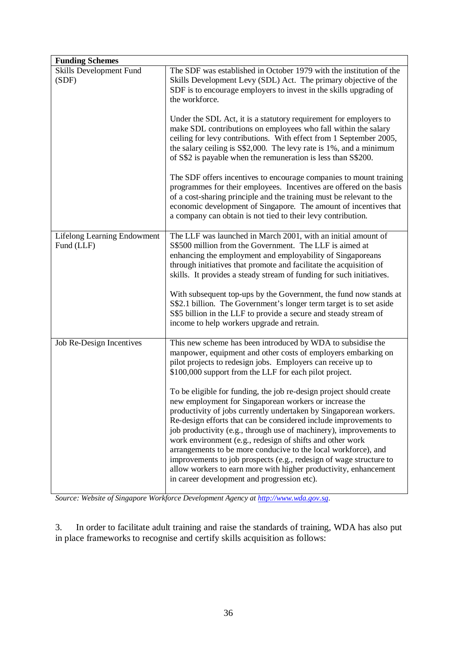| <b>Funding Schemes</b>                           |                                                                                                                                                                                                                                                                                                                                                                                                                                                                                                                                                                                                                                                                      |
|--------------------------------------------------|----------------------------------------------------------------------------------------------------------------------------------------------------------------------------------------------------------------------------------------------------------------------------------------------------------------------------------------------------------------------------------------------------------------------------------------------------------------------------------------------------------------------------------------------------------------------------------------------------------------------------------------------------------------------|
| Skills Development Fund<br>(SDF)                 | The SDF was established in October 1979 with the institution of the<br>Skills Development Levy (SDL) Act. The primary objective of the<br>SDF is to encourage employers to invest in the skills upgrading of<br>the workforce.                                                                                                                                                                                                                                                                                                                                                                                                                                       |
|                                                  | Under the SDL Act, it is a statutory requirement for employers to<br>make SDL contributions on employees who fall within the salary<br>ceiling for levy contributions. With effect from 1 September 2005,<br>the salary ceiling is S\$2,000. The levy rate is 1%, and a minimum<br>of S\$2 is payable when the remuneration is less than S\$200.                                                                                                                                                                                                                                                                                                                     |
|                                                  | The SDF offers incentives to encourage companies to mount training<br>programmes for their employees. Incentives are offered on the basis<br>of a cost-sharing principle and the training must be relevant to the<br>economic development of Singapore. The amount of incentives that<br>a company can obtain is not tied to their levy contribution.                                                                                                                                                                                                                                                                                                                |
| <b>Lifelong Learning Endowment</b><br>Fund (LLF) | The LLF was launched in March 2001, with an initial amount of<br>S\$500 million from the Government. The LLF is aimed at<br>enhancing the employment and employability of Singaporeans<br>through initiatives that promote and facilitate the acquisition of<br>skills. It provides a steady stream of funding for such initiatives.                                                                                                                                                                                                                                                                                                                                 |
|                                                  | With subsequent top-ups by the Government, the fund now stands at<br>S\$2.1 billion. The Government's longer term target is to set aside<br>S\$5 billion in the LLF to provide a secure and steady stream of<br>income to help workers upgrade and retrain.                                                                                                                                                                                                                                                                                                                                                                                                          |
| Job Re-Design Incentives                         | This new scheme has been introduced by WDA to subsidise the<br>manpower, equipment and other costs of employers embarking on<br>pilot projects to redesign jobs. Employers can receive up to<br>\$100,000 support from the LLF for each pilot project.                                                                                                                                                                                                                                                                                                                                                                                                               |
|                                                  | To be eligible for funding, the job re-design project should create<br>new employment for Singaporean workers or increase the<br>productivity of jobs currently undertaken by Singaporean workers.<br>Re-design efforts that can be considered include improvements to<br>job productivity (e.g., through use of machinery), improvements to<br>work environment (e.g., redesign of shifts and other work<br>arrangements to be more conducive to the local workforce), and<br>improvements to job prospects (e.g., redesign of wage structure to<br>allow workers to earn more with higher productivity, enhancement<br>in career development and progression etc). |

*Source: Website of Singapore Workforce Development Agency at http://www.wda.gov.sg*.

3. In order to facilitate adult training and raise the standards of training, WDA has also put in place frameworks to recognise and certify skills acquisition as follows: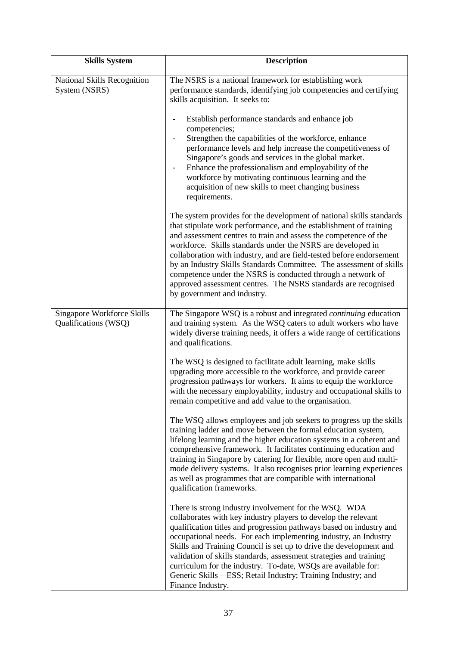| <b>Skills System</b>                               | <b>Description</b>                                                                                                                                                                                                                                                                                                                                                                                                                                                                                                                                                                           |
|----------------------------------------------------|----------------------------------------------------------------------------------------------------------------------------------------------------------------------------------------------------------------------------------------------------------------------------------------------------------------------------------------------------------------------------------------------------------------------------------------------------------------------------------------------------------------------------------------------------------------------------------------------|
| National Skills Recognition<br>System (NSRS)       | The NSRS is a national framework for establishing work<br>performance standards, identifying job competencies and certifying<br>skills acquisition. It seeks to:                                                                                                                                                                                                                                                                                                                                                                                                                             |
|                                                    | Establish performance standards and enhance job<br>competencies;<br>Strengthen the capabilities of the workforce, enhance<br>performance levels and help increase the competitiveness of<br>Singapore's goods and services in the global market.<br>Enhance the professionalism and employability of the<br>workforce by motivating continuous learning and the<br>acquisition of new skills to meet changing business<br>requirements.                                                                                                                                                      |
|                                                    | The system provides for the development of national skills standards<br>that stipulate work performance, and the establishment of training<br>and assessment centres to train and assess the competence of the<br>workforce. Skills standards under the NSRS are developed in<br>collaboration with industry, and are field-tested before endorsement<br>by an Industry Skills Standards Committee. The assessment of skills<br>competence under the NSRS is conducted through a network of<br>approved assessment centres. The NSRS standards are recognised<br>by government and industry. |
| Singapore Workforce Skills<br>Qualifications (WSQ) | The Singapore WSQ is a robust and integrated <i>continuing</i> education<br>and training system. As the WSQ caters to adult workers who have<br>widely diverse training needs, it offers a wide range of certifications<br>and qualifications.                                                                                                                                                                                                                                                                                                                                               |
|                                                    | The WSQ is designed to facilitate adult learning, make skills<br>upgrading more accessible to the workforce, and provide career<br>progression pathways for workers. It aims to equip the workforce<br>with the necessary employability, industry and occupational skills to<br>remain competitive and add value to the organisation.                                                                                                                                                                                                                                                        |
|                                                    | The WSQ allows employees and job seekers to progress up the skills<br>training ladder and move between the formal education system,<br>lifelong learning and the higher education systems in a coherent and<br>comprehensive framework. It facilitates continuing education and<br>training in Singapore by catering for flexible, more open and multi-<br>mode delivery systems. It also recognises prior learning experiences<br>as well as programmes that are compatible with international<br>qualification frameworks.                                                                 |
|                                                    | There is strong industry involvement for the WSQ. WDA<br>collaborates with key industry players to develop the relevant<br>qualification titles and progression pathways based on industry and<br>occupational needs. For each implementing industry, an Industry<br>Skills and Training Council is set up to drive the development and<br>validation of skills standards, assessment strategies and training<br>curriculum for the industry. To-date, WSQs are available for:<br>Generic Skills - ESS; Retail Industry; Training Industry; and<br>Finance Industry.                         |